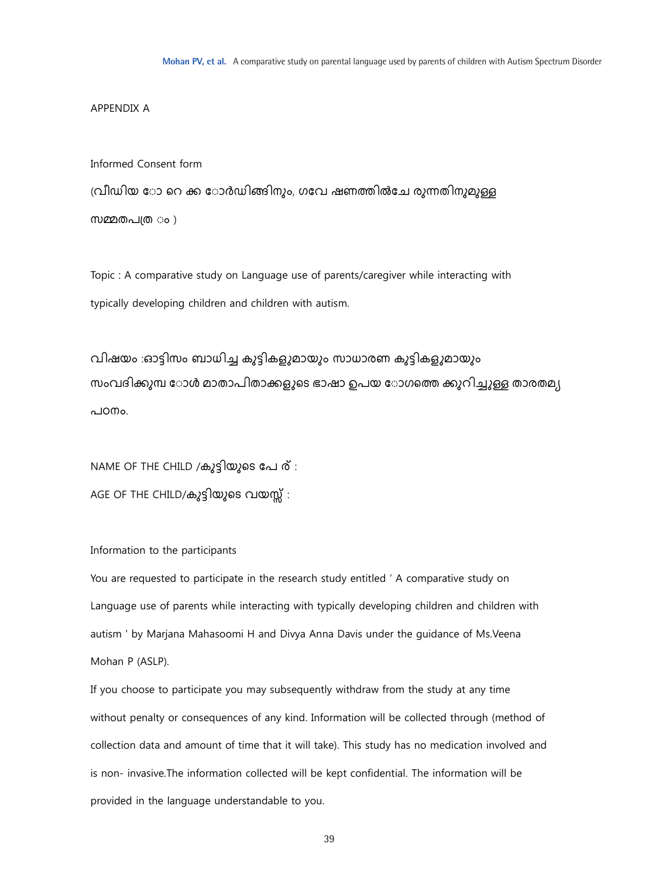#### APPENDIX A

#### Informed Consent form

(വീഡിയ ോ റെ ക്ക ോർഡിങ്ങിനും, ഗവേ ഷണത്തിൽചേ രുന്നതിനുമുള്ള

സമ്മതപത്ര ം )

Topic : A comparative study on Language use of parents/caregiver while interacting with typically developing children and children with autism.

വിഷയം :ഓട്ടിസം ബാധിച്ച കുട്ടികളുമായും സാധാരണ കുട്ടികളുമായും സംവദിക്കുമ്പ ോൾ മാതാപിതാക്കളുടെ ഭാഷാ ഉപയ ോഗത്തെ ക്കുറിച്ചുള്ള താരതമ്യ പഠനും.

NAME OF THE CHILD /കുട്ടിയുടെ പേ ര് : AGE OF THE CHILD/കുട്ടിയുടെ വയസ്സ് :

## Information to the participants

You are requested to participate in the research study entitled ' A comparative study on Language use of parents while interacting with typically developing children and children with autism ' by Marjana Mahasoomi H and Divya Anna Davis under the guidance of Ms.Veena Mohan P (ASLP).

If you choose to participate you may subsequently withdraw from the study at any time without penalty or consequences of any kind. Information will be collected through (method of collection data and amount of time that it will take). This study has no medication involved and is non- invasive.The information collected will be kept confidential. The information will be provided in the language understandable to you.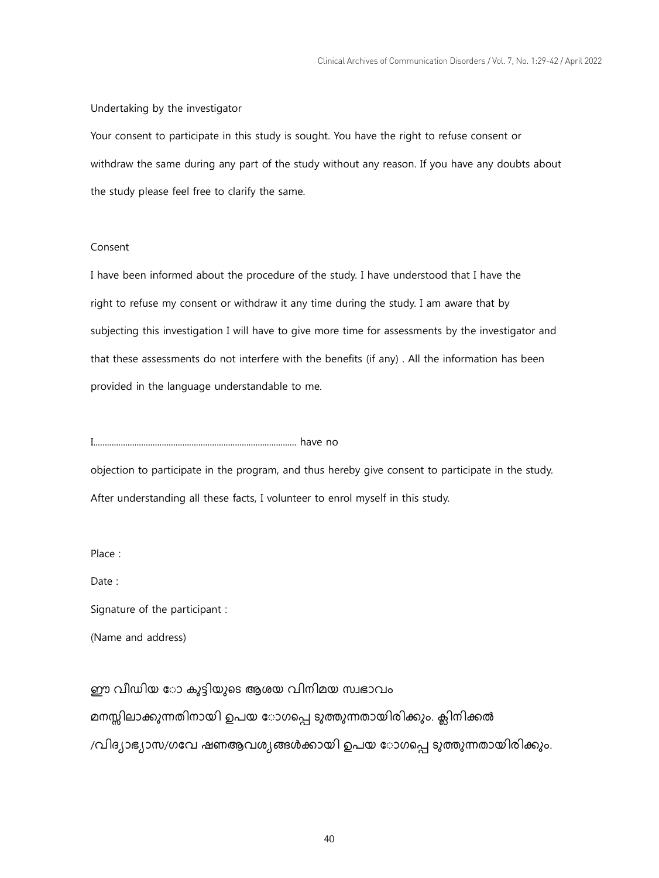### Undertaking by the investigator

Your consent to participate in this study is sought. You have the right to refuse consent or withdraw the same during any part of the study without any reason. If you have any doubts about the study please feel free to clarify the same.

### Consent

I have been informed about the procedure of the study. I have understood that I have the right to refuse my consent or withdraw it any time during the study. I am aware that by subjecting this investigation I will have to give more time for assessments by the investigator and that these assessments do not interfere with the benefits (if any) . All the information has been provided in the language understandable to me.

I......................................................................................... have no

objection to participate in the program, and thus hereby give consent to participate in the study. After understanding all these facts, I volunteer to enrol myself in this study.

Place :

Date:

Signature of the participant :

(Name and address)

ഈ വീഡിയ ോ കുട്ടിയുടെ ആശയ വിനിമയ സ്വഭാവം മനസ്സിലാക്കുന്നതിനായി ഉപയ ോഗപ്പെ ടുത്തുന്നതായിരിക്കും. ക്ലിനിക്കൽ /വിദ്യാഭ്യാസ/ഗവേ ഷണആവശ്യങ്ങൾക്കായി ഉപയ ോഗപ്പെ ടുത്തുന്നതായിരിക്കും.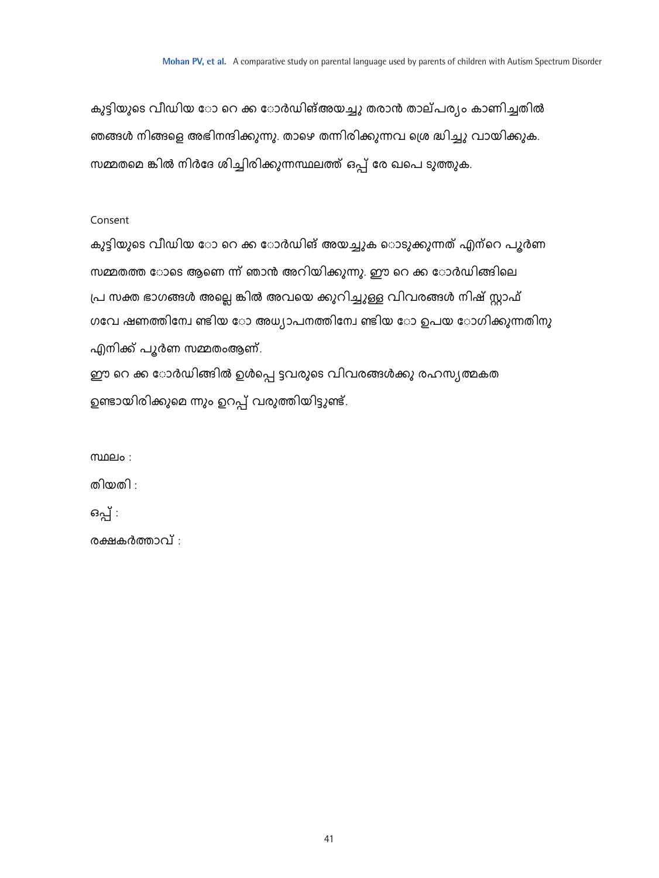കുട്ടിയുടെ വീഡിയ ോ റെ ക്ക ോർഡിങ്അയച്ചു തരാൻ താല്പര്യം കാണിച്ചതിൽ ഞങ്ങൾ നിങ്ങളെ അഭിനന്ദിക്കുന്നു. താഴെ തന്നിരിക്കുന്നവ ശ്രെ ദ്ധിച്ചു വായിക്കുക. സമ്മതമെ ങ്കിൽ നിർദേ ശിച്ചിരിക്കുന്നസ്ഥലത്ത് ഒപ്പ് രേ ഖപെ ടുത്തുക.

# Consent

കുട്ടിയുടെ വീഡിയ ോ റെ ക്ക ോർഡിങ് അയച്ചുക ൊടുക്കുന്നത് എന്റെ പൂർണ സമ്മതത്ത ോടെ ആണെ ന്ന് ഞാൻ അറിയിക്കുന്നു. ഈ റെ ക്ക ോർഡിങ്ങിലെ പ്ര സക്ത ഭാഗങ്ങൾ അല്ലെ ങ്കിൽ അവയെ ക്കുറിച്ചുള്ള വിവരങ്ങൾ നിഷ് സ്റ്റാഫ് ഗവേ ഷണത്തിന്വേ ണ്ടിയ ോ അധ്യാപനത്തിന്വേ ണ്ടിയ ോ ഉപയ ോഗിക്കുന്നതിനു എനിക്ക് പൂർണ സമ്മതംആണ്.

ഈ റെ ക്ക ോർഡിങ്ങിൽ ഉൾപ്പെ ട്ടവരുടെ വിവരങ്ങൾക്കു രഹസ്യത്മകത ഉണ്ടായിരിക്കുമെ ന്നും ഉറപ്പ് വരുത്തിയിട്ടുണ്ട്.

 $m$ ലം :

തിയതി :

ഒപ്പ് :

രക്ഷകർത്താവ് :